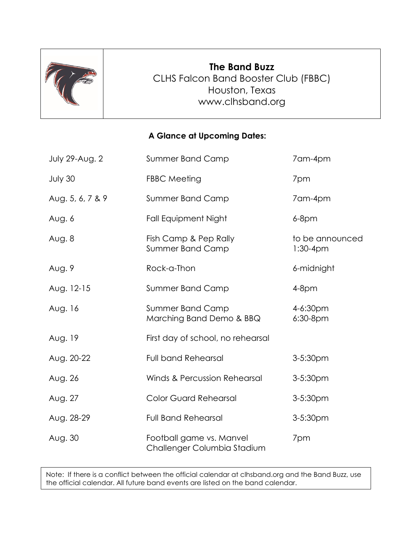

## **The Band Buzz** CLHS Falcon Band Booster Club (FBBC) Houston, Texas [www.clhsband.org](http://www.clhsband.org/)

## **A Glance at Upcoming Dates:**

| <b>July 29-Aug. 2</b> | <b>Summer Band Camp</b>                                 | 7am-4pm                       |
|-----------------------|---------------------------------------------------------|-------------------------------|
| July 30               | <b>FBBC Meeting</b>                                     | 7pm                           |
| Aug. 5, 6, 7 & 9      | <b>Summer Band Camp</b>                                 | 7am-4pm                       |
| Aug. 6                | <b>Fall Equipment Night</b>                             | $6-8$ pm                      |
| Aug. 8                | Fish Camp & Pep Rally<br><b>Summer Band Camp</b>        | to be announced<br>$1:30-4pm$ |
| Aug. 9                | Rock-a-Thon                                             | 6-midnight                    |
| Aug. 12-15            | <b>Summer Band Camp</b>                                 | $4-8pm$                       |
| Aug. 16               | Summer Band Camp<br>Marching Band Demo & BBQ            | $4 - 6:30pm$<br>$6:30-8pm$    |
| Aug. 19               | First day of school, no rehearsal                       |                               |
| Aug. 20-22            | <b>Full band Rehearsal</b>                              | 3-5:30pm                      |
| Aug. 26               | <b>Winds &amp; Percussion Rehearsal</b>                 | 3-5:30pm                      |
| Aug. 27               | <b>Color Guard Rehearsal</b>                            | 3-5:30pm                      |
| Aug. 28-29            | <b>Full Band Rehearsal</b>                              | 3-5:30pm                      |
| Aug. 30               | Football game vs. Manvel<br>Challenger Columbia Stadium | 7pm                           |

Note: If there is a conflict between the official calendar at clhsband.org and the Band Buzz, use the official calendar. All future band events are listed on the band calendar.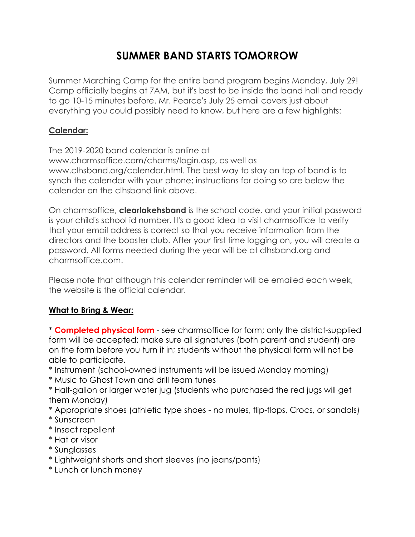# **SUMMER BAND STARTS TOMORROW**

Summer Marching Camp for the entire band program begins Monday, July 29! Camp officially begins at 7AM, but it's best to be inside the band hall and ready to go 10-15 minutes before. Mr. Pearce's July 25 email covers just about everything you could possibly need to know, but here are a few highlights:

## **Calendar:**

The 2019-2020 band calendar is online at www.charmsoffice.com/charms/login.asp, as well as www.clhsband.org/calendar.html. The best way to stay on top of band is to synch the calendar with your phone; instructions for doing so are below the calendar on the clhsband link above.

On charmsoffice, **clearlakehsband** is the school code, and your initial password is your child's school id number. It's a good idea to visit charmsoffice to verify that your email address is correct so that you receive information from the directors and the booster club. After your first time logging on, you will create a password. All forms needed during the year will be at clhsband.org and charmsoffice.com.

Please note that although this calendar reminder will be emailed each week, the website is the official calendar.

## **What to Bring & Wear:**

\* **Completed physical form** - see charmsoffice for form; only the district-supplied form will be accepted; make sure all signatures (both parent and student) are on the form before you turn it in; students without the physical form will not be able to participate.

- \* Instrument (school-owned instruments will be issued Monday morning)
- \* Music to Ghost Town and drill team tunes
- \* Half-gallon or larger water jug (students who purchased the red jugs will get them Monday)
- \* Appropriate shoes (athletic type shoes no mules, flip-flops, Crocs, or sandals)
- \* Sunscreen
- \* Insect repellent
- \* Hat or visor
- \* Sunglasses
- \* Lightweight shorts and short sleeves (no jeans/pants)
- \* Lunch or lunch money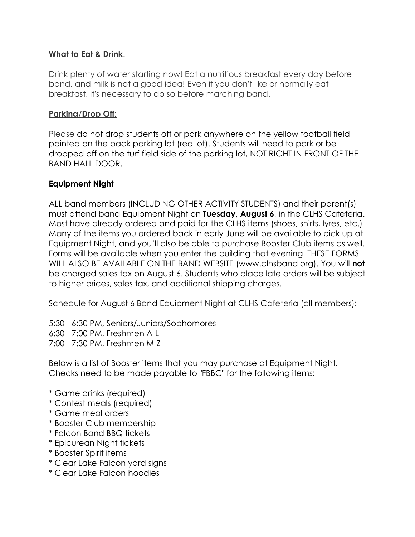#### **What to Eat & Drink**:

Drink plenty of water starting now! Eat a nutritious breakfast every day before band, and milk is not a good idea! Even if you don't like or normally eat breakfast, it's necessary to do so before marching band.

#### **Parking/Drop Off:**

Please do not drop students off or park anywhere on the yellow football field painted on the back parking lot (red lot). Students will need to park or be dropped off on the turf field side of the parking lot, NOT RIGHT IN FRONT OF THE BAND HALL DOOR.

### **Equipment Night**

ALL band members (INCLUDING OTHER ACTIVITY STUDENTS) and their parent(s) must attend band Equipment Night on **Tuesday, August 6**, in the CLHS Cafeteria. Most have already ordered and paid for the CLHS items (shoes, shirts, lyres, etc.) Many of the items you ordered back in early June will be available to pick up at Equipment Night, and you'll also be able to purchase Booster Club items as well. Forms will be available when you enter the building that evening. THESE FORMS WILL ALSO BE AVAILABLE ON THE BAND WEBSITE (www.clhsband.org). You will **not** be charged sales tax on August 6. Students who place late orders will be subject to higher prices, sales tax, and additional shipping charges.

Schedule for August 6 Band Equipment Night at CLHS Cafeteria (all members):

5:30 - 6:30 PM, Seniors/Juniors/Sophomores 6:30 - 7:00 PM, Freshmen A-L 7:00 - 7:30 PM, Freshmen M-Z

Below is a list of Booster items that you may purchase at Equipment Night. Checks need to be made payable to "FBBC" for the following items:

- \* Game drinks (required)
- \* Contest meals (required)
- \* Game meal orders
- \* Booster Club membership
- \* Falcon Band BBQ tickets
- \* Epicurean Night tickets
- \* Booster Spirit items
- \* Clear Lake Falcon yard signs
- \* Clear Lake Falcon hoodies